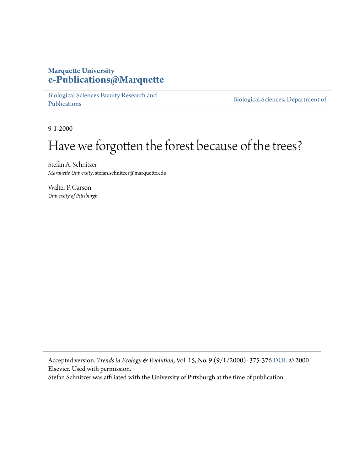#### **Marquette University [e-Publications@Marquette](https://epublications.marquette.edu/)**

[Biological Sciences Faculty Research and](https://epublications.marquette.edu/bio_fac) [Publications](https://epublications.marquette.edu/bio_fac)

[Biological Sciences, Department of](https://epublications.marquette.edu/biology)

9-1-2000

## Have we forgotten the forest because of the trees?

Stefan A. Schnitzer *Marquette University*, stefan.schnitzer@marquette.edu

Walter P. Carson *University of Pittsburgh*

Accepted version. *Trends in Ecology & Evolution*, Vol. 15, No. 9 (9/1/2000): 375-376 [DOI](https://dx.doi.org/10.1016/S0169-5347(00)01913-3). © 2000 Elsevier. Used with permission.

Stefan Schnitzer was affiliated with the University of Pittsburgh at the time of publication.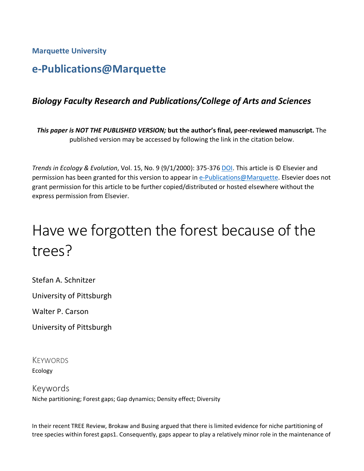**Marquette University**

### **e-Publications@Marquette**

#### *Biology Faculty Research and Publications/College of Arts and Sciences*

*This paper is NOT THE PUBLISHED VERSION;* **but the author's final, peer-reviewed manuscript.** The published version may be accessed by following the link in the citation below.

*Trends in Ecology & Evolution*, Vol. 15, No. 9 (9/1/2000): 375-376 [DOI.](https://dx.doi.org/10.1016/S0169-5347(00)01913-3) This article is © Elsevier and permission has been granted for this version to appear in [e-Publications@Marquette.](http://epublications.marquette.edu/) Elsevier does not grant permission for this article to be further copied/distributed or hosted elsewhere without the express permission from Elsevier.

# Have we forgotten the forest because of the trees?

Stefan A. Schnitzer

University of Pittsburgh

Walter P. Carson

University of Pittsburgh

**KEYWORDS** Ecology

Keywords Niche partitioning; Forest gaps; Gap dynamics; Density effect; Diversity

In their recent TREE Review, Brokaw and Busing argued that there is limited evidence for niche partitioning of tree species within forest gaps1. Consequently, gaps appear to play a relatively minor role in the maintenance of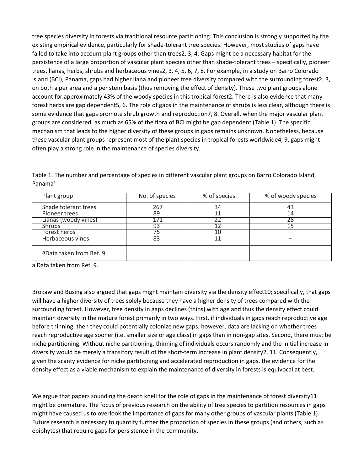tree species diversity in forests via traditional resource partitioning. This conclusion is strongly supported by the existing empirical evidence, particularly for shade-tolerant tree species. However, most studies of gaps have failed to take into account plant groups other than trees2, 3, 4. Gaps might be a necessary habitat for the persistence of a large proportion of vascular plant species other than shade-tolerant trees – specifically, pioneer trees, lianas, herbs, shrubs and herbaceous vines2, 3, 4, 5, 6, 7, 8. For example, in a study on Barro Colorado Island (BCI), Panama, gaps had higher liana and pioneer tree diversity compared with the surrounding forest2, 3, on both a per area and a per stem basis (thus removing the effect of density). These two plant groups alone account for approximately 43% of the woody species in this tropical forest2. There is also evidence that many forest herbs are gap dependent5, 6. The role of gaps in the maintenance of shrubs is less clear, although there is some evidence that gaps promote shrub growth and reproduction7, 8. Overall, when the major vascular plant groups are considered, as much as 65% of the flora of BCI might be gap dependent (Table 1). The specific mechanism that leads to the higher diversity of these groups in gaps remains unknown. Nonetheless, because these vascular plant groups represent most of the plant species in tropical forests worldwide4, 9, gaps might often play a strong role in the maintenance of species diversity.

| Plant group               | No. of species | % of species | % of woody species |
|---------------------------|----------------|--------------|--------------------|
| Shade tolerant trees      | 267            | 34           | 43                 |
| Pioneer trees             | 89             |              |                    |
| Lianas (woody vines)      |                |              |                    |
| <b>Shrubs</b>             | 93             |              |                    |
| Forest herbs              |                | 10           | -                  |
| Herbaceous vines          | 83             | 11           |                    |
| a Data taken from Ref. 9. |                |              |                    |

Table 1. The number and percentage of species in different vascular plant groups on Barro Colorado Island, Panama<sup>a</sup>

a Data taken from Ref. 9.

Brokaw and Busing also argued that gaps might maintain diversity via the density effect10; specifically, that gaps will have a higher diversity of trees solely because they have a higher density of trees compared with the surrounding forest. However, tree density in gaps declines (thins) with age and thus the density effect could maintain diversity in the mature forest primarily in two ways. First, if individuals in gaps reach reproductive age before thinning, then they could potentially colonize new gaps; however, data are lacking on whether trees reach reproductive age sooner (i.e. smaller size or age class) in gaps than in non-gap sites. Second, there must be niche partitioning. Without niche partitioning, thinning of individuals occurs randomly and the initial increase in diversity would be merely a transitory result of the short-term increase in plant density2, 11. Consequently, given the scanty evidence for niche partitioning and accelerated reproduction in gaps, the evidence for the density effect as a viable mechanism to explain the maintenance of diversity in forests is equivocal at best.

We argue that papers sounding the death knell for the role of gaps in the maintenance of forest diversity11 might be premature. The focus of previous research on the ability of tree species to partition resources in gaps might have caused us to overlook the importance of gaps for many other groups of vascular plants (Table 1). Future research is necessary to quantify further the proportion of species in these groups (and others, such as epiphytes) that require gaps for persistence in the community.